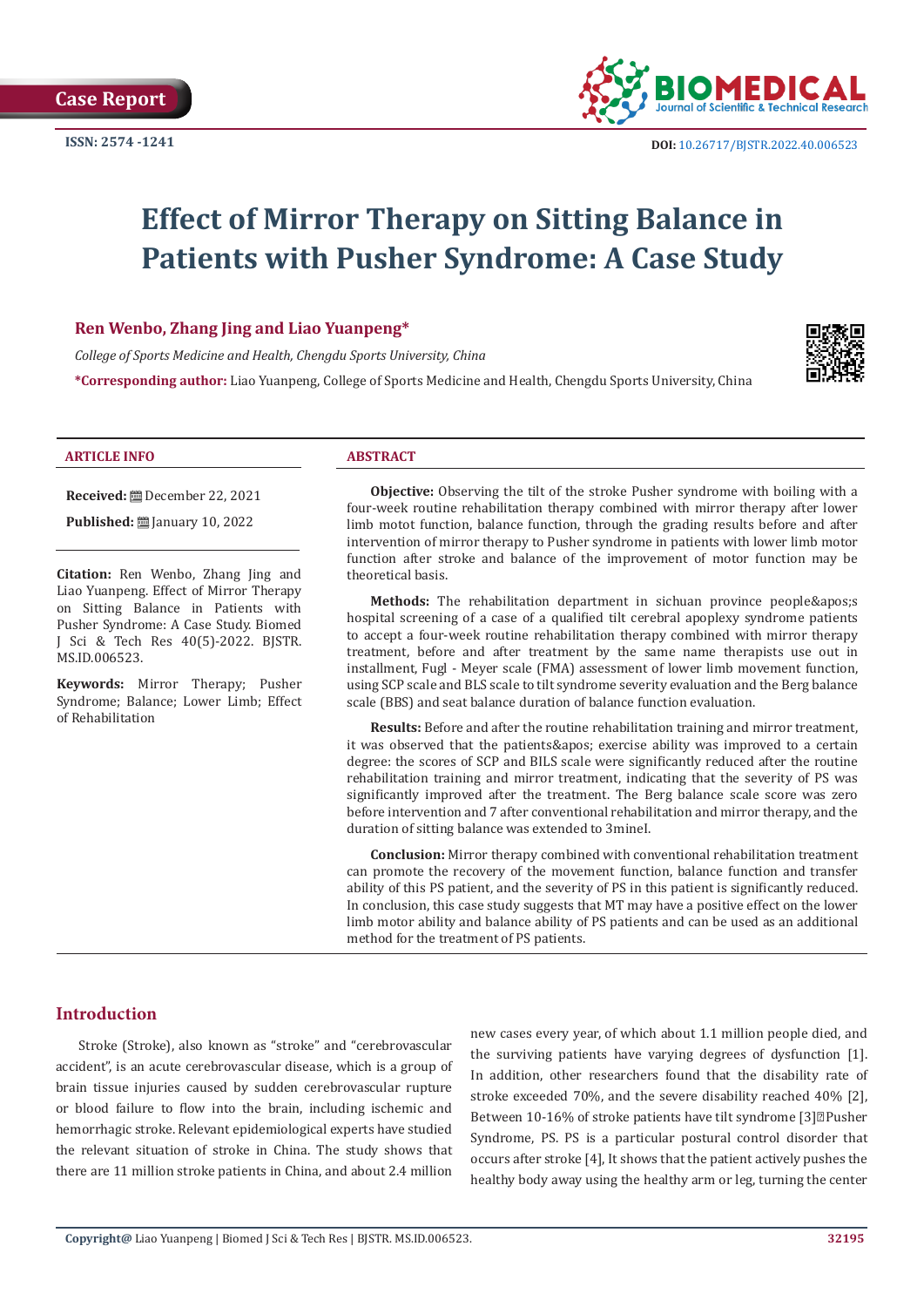

# **Effect of Mirror Therapy on Sitting Balance in Patients with Pusher Syndrome: A Case Study**

# **Ren Wenbo, Zhang Jing and Liao Yuanpeng\***

*College of Sports Medicine and Health, Chengdu Sports University, China*

**\*Corresponding author:** Liao Yuanpeng, College of Sports Medicine and Health, Chengdu Sports University, China



#### **ARTICLE INFO ABSTRACT**

**Received:** December 22, 2021

**Published:** ■ January 10, 2022

**Citation:** Ren Wenbo, Zhang Jing and Liao Yuanpeng. Effect of Mirror Therapy on Sitting Balance in Patients with Pusher Syndrome: A Case Study. Biomed J Sci & Tech Res 40(5)-2022. BJSTR. MS.ID.006523.

**Keywords:** Mirror Therapy; Pusher Syndrome; Balance; Lower Limb; Effect of Rehabilitation

**Objective:** Observing the tilt of the stroke Pusher syndrome with boiling with a four-week routine rehabilitation therapy combined with mirror therapy after lower limb motot function, balance function, through the grading results before and after intervention of mirror therapy to Pusher syndrome in patients with lower limb motor function after stroke and balance of the improvement of motor function may be theoretical basis.

Methods: The rehabilitation department in sichuan province people's hospital screening of a case of a qualified tilt cerebral apoplexy syndrome patients to accept a four-week routine rehabilitation therapy combined with mirror therapy treatment, before and after treatment by the same name therapists use out in installment, Fugl - Meyer scale (FMA) assessment of lower limb movement function, using SCP scale and BLS scale to tilt syndrome severity evaluation and the Berg balance scale (BBS) and seat balance duration of balance function evaluation.

**Results:** Before and after the routine rehabilitation training and mirror treatment, it was observed that the patients' exercise ability was improved to a certain degree: the scores of SCP and BILS scale were significantly reduced after the routine rehabilitation training and mirror treatment, indicating that the severity of PS was significantly improved after the treatment. The Berg balance scale score was zero before intervention and 7 after conventional rehabilitation and mirror therapy, and the duration of sitting balance was extended to 3mineI.

**Conclusion:** Mirror therapy combined with conventional rehabilitation treatment can promote the recovery of the movement function, balance function and transfer ability of this PS patient, and the severity of PS in this patient is significantly reduced. In conclusion, this case study suggests that MT may have a positive effect on the lower limb motor ability and balance ability of PS patients and can be used as an additional method for the treatment of PS patients.

# **Introduction**

Stroke (Stroke), also known as "stroke" and "cerebrovascular accident", is an acute cerebrovascular disease, which is a group of brain tissue injuries caused by sudden cerebrovascular rupture or blood failure to flow into the brain, including ischemic and hemorrhagic stroke. Relevant epidemiological experts have studied the relevant situation of stroke in China. The study shows that there are 11 million stroke patients in China, and about 2.4 million

new cases every year, of which about 1.1 million people died, and the surviving patients have varying degrees of dysfunction [1]. In addition, other researchers found that the disability rate of stroke exceeded 70%, and the severe disability reached 40% [2], Between 10-16% of stroke patients have tilt syndrome [3]<sup>[2]</sup>Pusher Syndrome, PS. PS is a particular postural control disorder that occurs after stroke [4], It shows that the patient actively pushes the healthy body away using the healthy arm or leg, turning the center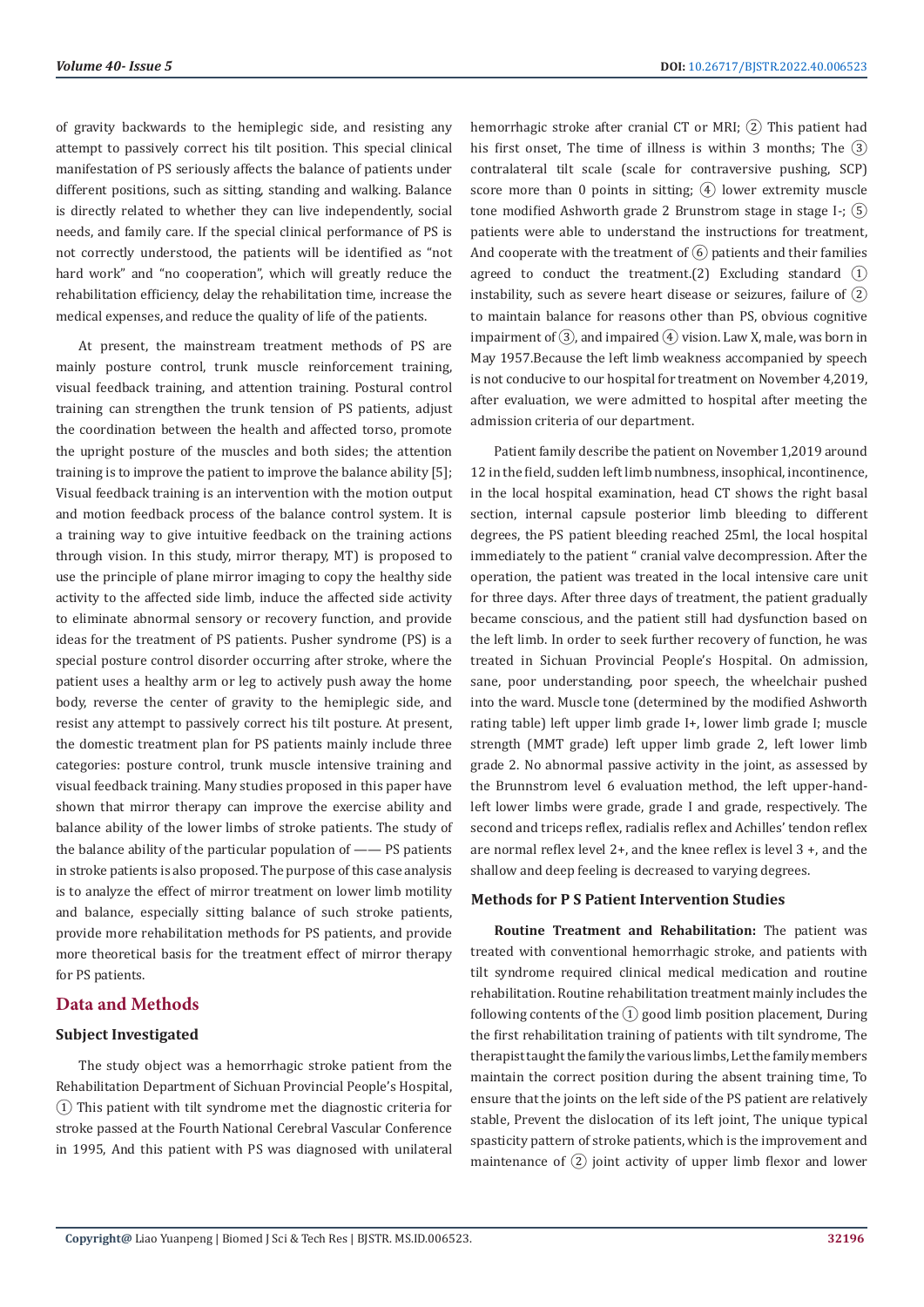of gravity backwards to the hemiplegic side, and resisting any attempt to passively correct his tilt position. This special clinical manifestation of PS seriously affects the balance of patients under different positions, such as sitting, standing and walking. Balance is directly related to whether they can live independently, social needs, and family care. If the special clinical performance of PS is not correctly understood, the patients will be identified as "not hard work" and "no cooperation", which will greatly reduce the rehabilitation efficiency, delay the rehabilitation time, increase the medical expenses, and reduce the quality of life of the patients.

At present, the mainstream treatment methods of PS are mainly posture control, trunk muscle reinforcement training, visual feedback training, and attention training. Postural control training can strengthen the trunk tension of PS patients, adjust the coordination between the health and affected torso, promote the upright posture of the muscles and both sides; the attention training is to improve the patient to improve the balance ability [5]; Visual feedback training is an intervention with the motion output and motion feedback process of the balance control system. It is a training way to give intuitive feedback on the training actions through vision. In this study, mirror therapy, MT) is proposed to use the principle of plane mirror imaging to copy the healthy side activity to the affected side limb, induce the affected side activity to eliminate abnormal sensory or recovery function, and provide ideas for the treatment of PS patients. Pusher syndrome (PS) is a special posture control disorder occurring after stroke, where the patient uses a healthy arm or leg to actively push away the home body, reverse the center of gravity to the hemiplegic side, and resist any attempt to passively correct his tilt posture. At present, the domestic treatment plan for PS patients mainly include three categories: posture control, trunk muscle intensive training and visual feedback training. Many studies proposed in this paper have shown that mirror therapy can improve the exercise ability and balance ability of the lower limbs of stroke patients. The study of the balance ability of the particular population of —— PS patients in stroke patients is also proposed. The purpose of this case analysis is to analyze the effect of mirror treatment on lower limb motility and balance, especially sitting balance of such stroke patients, provide more rehabilitation methods for PS patients, and provide more theoretical basis for the treatment effect of mirror therapy for PS patients.

# **Data and Methods**

#### **Subject Investigated**

The study object was a hemorrhagic stroke patient from the Rehabilitation Department of Sichuan Provincial People's Hospital, ① This patient with tilt syndrome met the diagnostic criteria for stroke passed at the Fourth National Cerebral Vascular Conference in 1995, And this patient with PS was diagnosed with unilateral

hemorrhagic stroke after cranial CT or MRI;  $(2)$  This patient had his first onset. The time of illness is within 3 months; The  $(3)$ contralateral tilt scale (scale for contraversive pushing, SCP) score more than 0 points in sitting;  $\overline{4}$  lower extremity muscle tone modified Ashworth grade 2 Brunstrom stage in stage I-;  $(5)$ patients were able to understand the instructions for treatment, And cooperate with the treatment of  $\left(\widehat{6}\right)$  patients and their families agreed to conduct the treatment.(2) Excluding standard  $(1)$ instability, such as severe heart disease or seizures, failure of  $(2)$ to maintain balance for reasons other than PS, obvious cognitive impairment of  $(3)$ , and impaired  $(4)$  vision. Law X, male, was born in May 1957.Because the left limb weakness accompanied by speech is not conducive to our hospital for treatment on November 4,2019, after evaluation, we were admitted to hospital after meeting the admission criteria of our department.

Patient family describe the patient on November 1,2019 around 12 in the field, sudden left limb numbness, insophical, incontinence, in the local hospital examination, head CT shows the right basal section, internal capsule posterior limb bleeding to different degrees, the PS patient bleeding reached 25ml, the local hospital immediately to the patient " cranial valve decompression. After the operation, the patient was treated in the local intensive care unit for three days. After three days of treatment, the patient gradually became conscious, and the patient still had dysfunction based on the left limb. In order to seek further recovery of function, he was treated in Sichuan Provincial People's Hospital. On admission, sane, poor understanding, poor speech, the wheelchair pushed into the ward. Muscle tone (determined by the modified Ashworth rating table) left upper limb grade I+, lower limb grade I; muscle strength (MMT grade) left upper limb grade 2, left lower limb grade 2. No abnormal passive activity in the joint, as assessed by the Brunnstrom level 6 evaluation method, the left upper-handleft lower limbs were grade, grade I and grade, respectively. The second and triceps reflex, radialis reflex and Achilles' tendon reflex are normal reflex level 2+, and the knee reflex is level 3 +, and the shallow and deep feeling is decreased to varying degrees.

#### **Methods for P S Patient Intervention Studies**

**Routine Treatment and Rehabilitation:** The patient was treated with conventional hemorrhagic stroke, and patients with tilt syndrome required clinical medical medication and routine rehabilitation. Routine rehabilitation treatment mainly includes the following contents of the  $(1)$  good limb position placement, During the first rehabilitation training of patients with tilt syndrome, The therapist taught the family the various limbs, Let the family members maintain the correct position during the absent training time, To ensure that the joints on the left side of the PS patient are relatively stable, Prevent the dislocation of its left joint, The unique typical spasticity pattern of stroke patients, which is the improvement and maintenance of  $(2)$  joint activity of upper limb flexor and lower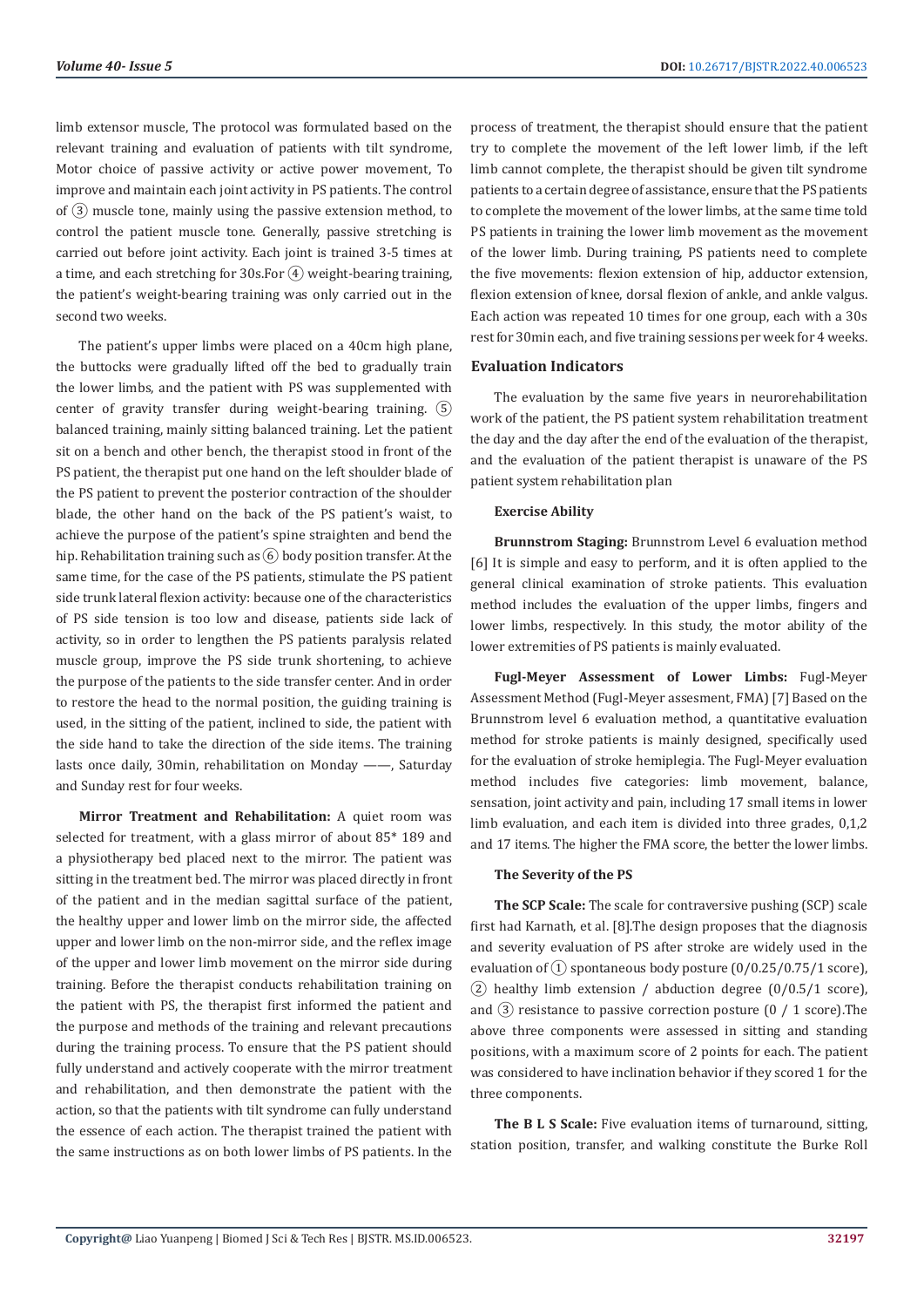limb extensor muscle, The protocol was formulated based on the relevant training and evaluation of patients with tilt syndrome, Motor choice of passive activity or active power movement, To improve and maintain each joint activity in PS patients. The control of  $\overline{3}$  muscle tone, mainly using the passive extension method, to control the patient muscle tone. Generally, passive stretching is carried out before joint activity. Each joint is trained 3-5 times at a time, and each stretching for 30s. For  $\overline{4}$  weight-bearing training, the patient's weight-bearing training was only carried out in the second two weeks.

The patient's upper limbs were placed on a 40cm high plane, the buttocks were gradually lifted off the bed to gradually train the lower limbs, and the patient with PS was supplemented with center of gravity transfer during weight-bearing training.  $(5)$ balanced training, mainly sitting balanced training. Let the patient sit on a bench and other bench, the therapist stood in front of the PS patient, the therapist put one hand on the left shoulder blade of the PS patient to prevent the posterior contraction of the shoulder blade, the other hand on the back of the PS patient's waist, to achieve the purpose of the patient's spine straighten and bend the hip. Rehabilitation training such as  $\overline{(6)}$  body position transfer. At the same time, for the case of the PS patients, stimulate the PS patient side trunk lateral flexion activity: because one of the characteristics of PS side tension is too low and disease, patients side lack of activity, so in order to lengthen the PS patients paralysis related muscle group, improve the PS side trunk shortening, to achieve the purpose of the patients to the side transfer center. And in order to restore the head to the normal position, the guiding training is used, in the sitting of the patient, inclined to side, the patient with the side hand to take the direction of the side items. The training lasts once daily, 30min, rehabilitation on Monday ——, Saturday and Sunday rest for four weeks.

**Mirror Treatment and Rehabilitation:** A quiet room was selected for treatment, with a glass mirror of about 85\* 189 and a physiotherapy bed placed next to the mirror. The patient was sitting in the treatment bed. The mirror was placed directly in front of the patient and in the median sagittal surface of the patient, the healthy upper and lower limb on the mirror side, the affected upper and lower limb on the non-mirror side, and the reflex image of the upper and lower limb movement on the mirror side during training. Before the therapist conducts rehabilitation training on the patient with PS, the therapist first informed the patient and the purpose and methods of the training and relevant precautions during the training process. To ensure that the PS patient should fully understand and actively cooperate with the mirror treatment and rehabilitation, and then demonstrate the patient with the action, so that the patients with tilt syndrome can fully understand the essence of each action. The therapist trained the patient with the same instructions as on both lower limbs of PS patients. In the

process of treatment, the therapist should ensure that the patient try to complete the movement of the left lower limb, if the left limb cannot complete, the therapist should be given tilt syndrome patients to a certain degree of assistance, ensure that the PS patients to complete the movement of the lower limbs, at the same time told PS patients in training the lower limb movement as the movement of the lower limb. During training, PS patients need to complete the five movements: flexion extension of hip, adductor extension, flexion extension of knee, dorsal flexion of ankle, and ankle valgus. Each action was repeated 10 times for one group, each with a 30s rest for 30min each, and five training sessions per week for 4 weeks.

### **Evaluation Indicators**

The evaluation by the same five years in neurorehabilitation work of the patient, the PS patient system rehabilitation treatment the day and the day after the end of the evaluation of the therapist, and the evaluation of the patient therapist is unaware of the PS patient system rehabilitation plan

#### **Exercise Ability**

**Brunnstrom Staging:** Brunnstrom Level 6 evaluation method [6] It is simple and easy to perform, and it is often applied to the general clinical examination of stroke patients. This evaluation method includes the evaluation of the upper limbs, fingers and lower limbs, respectively. In this study, the motor ability of the lower extremities of PS patients is mainly evaluated.

**Fugl-Meyer Assessment of Lower Limbs:** Fugl-Meyer Assessment Method (Fugl-Meyer assesment, FMA) [7] Based on the Brunnstrom level 6 evaluation method, a quantitative evaluation method for stroke patients is mainly designed, specifically used for the evaluation of stroke hemiplegia. The Fugl-Meyer evaluation method includes five categories: limb movement, balance, sensation, joint activity and pain, including 17 small items in lower limb evaluation, and each item is divided into three grades, 0,1,2 and 17 items. The higher the FMA score, the better the lower limbs.

### **The Severity of the PS**

**The SCP Scale:** The scale for contraversive pushing (SCP) scale first had Karnath, et al. [8].The design proposes that the diagnosis and severity evaluation of PS after stroke are widely used in the evaluation of  $\overline{1}$ ) spontaneous body posture  $\left(\frac{0}{0.25}{0.75}{1 \text{ score}}\right)$ ,  $(2)$  healthy limb extension / abduction degree  $(0/0.5/1 \text{ score})$ , and  $(3)$  resistance to passive correction posture  $(0 / 1$  score). The above three components were assessed in sitting and standing positions, with a maximum score of 2 points for each. The patient was considered to have inclination behavior if they scored 1 for the three components.

**The B L S Scale:** Five evaluation items of turnaround, sitting, station position, transfer, and walking constitute the Burke Roll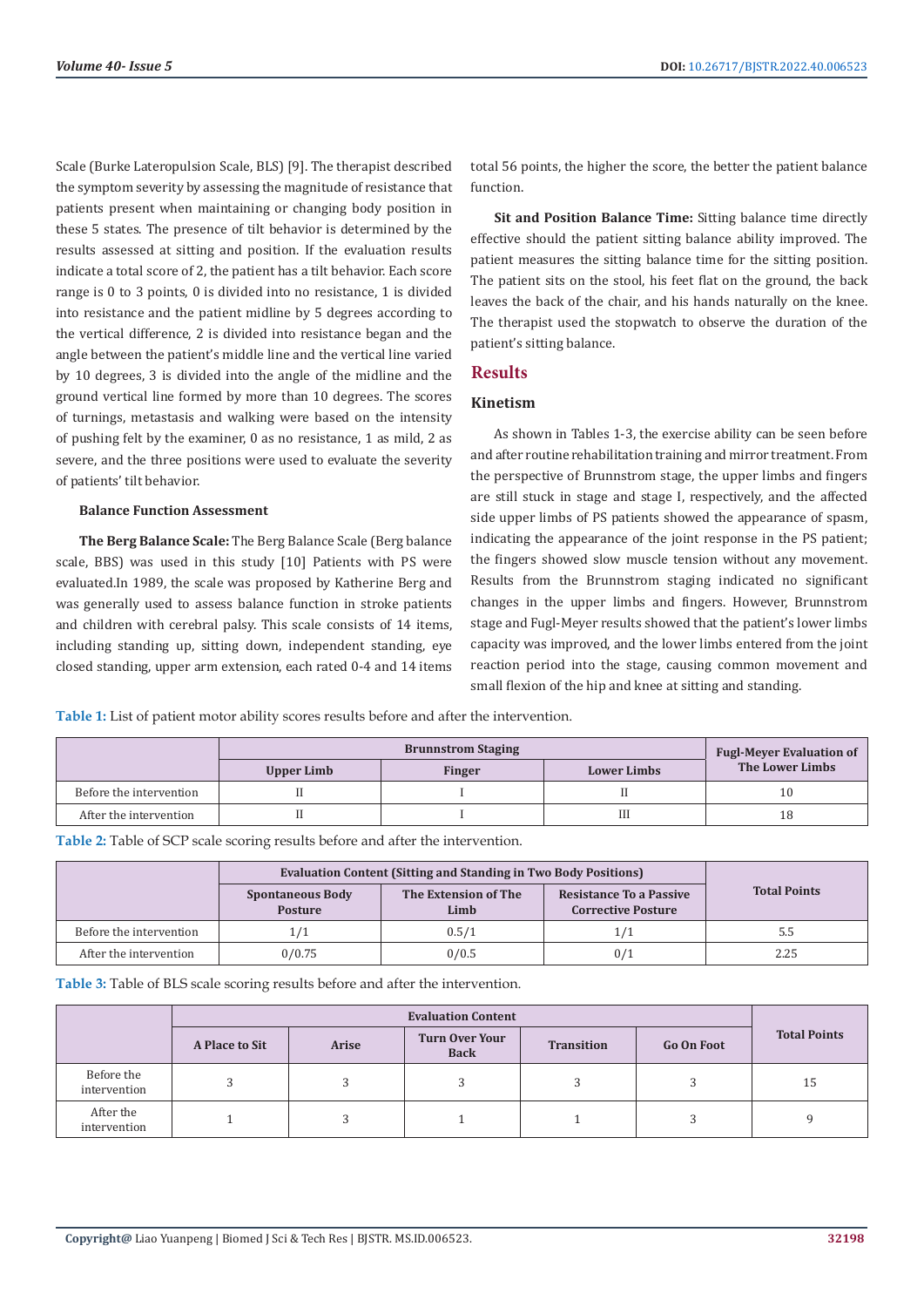Scale (Burke Lateropulsion Scale, BLS) [9]. The therapist described the symptom severity by assessing the magnitude of resistance that patients present when maintaining or changing body position in these 5 states. The presence of tilt behavior is determined by the results assessed at sitting and position. If the evaluation results indicate a total score of 2, the patient has a tilt behavior. Each score range is 0 to 3 points, 0 is divided into no resistance, 1 is divided into resistance and the patient midline by 5 degrees according to the vertical difference, 2 is divided into resistance began and the angle between the patient's middle line and the vertical line varied by 10 degrees, 3 is divided into the angle of the midline and the ground vertical line formed by more than 10 degrees. The scores of turnings, metastasis and walking were based on the intensity of pushing felt by the examiner, 0 as no resistance, 1 as mild, 2 as severe, and the three positions were used to evaluate the severity of patients' tilt behavior.

#### **Balance Function Assessment**

**The Berg Balance Scale:** The Berg Balance Scale (Berg balance scale, BBS) was used in this study [10] Patients with PS were evaluated.In 1989, the scale was proposed by Katherine Berg and was generally used to assess balance function in stroke patients and children with cerebral palsy. This scale consists of 14 items, including standing up, sitting down, independent standing, eye closed standing, upper arm extension, each rated 0-4 and 14 items total 56 points, the higher the score, the better the patient balance function.

**Sit and Position Balance Time:** Sitting balance time directly effective should the patient sitting balance ability improved. The patient measures the sitting balance time for the sitting position. The patient sits on the stool, his feet flat on the ground, the back leaves the back of the chair, and his hands naturally on the knee. The therapist used the stopwatch to observe the duration of the patient's sitting balance.

#### **Results**

# **Kinetism**

As shown in Tables 1-3, the exercise ability can be seen before and after routine rehabilitation training and mirror treatment. From the perspective of Brunnstrom stage, the upper limbs and fingers are still stuck in stage and stage I, respectively, and the affected side upper limbs of PS patients showed the appearance of spasm, indicating the appearance of the joint response in the PS patient; the fingers showed slow muscle tension without any movement. Results from the Brunnstrom staging indicated no significant changes in the upper limbs and fingers. However, Brunnstrom stage and Fugl-Meyer results showed that the patient's lower limbs capacity was improved, and the lower limbs entered from the joint reaction period into the stage, causing common movement and small flexion of the hip and knee at sitting and standing.

**Table 1:** List of patient motor ability scores results before and after the intervention.

|                         | <b>Brunnstrom Staging</b> |               |                    | <b>Fugl-Meyer Evaluation of</b> |  |
|-------------------------|---------------------------|---------------|--------------------|---------------------------------|--|
|                         | Upper Limb                | <b>Finger</b> | <b>Lower Limbs</b> | The Lower Limbs                 |  |
| Before the intervention |                           |               |                    | 10                              |  |
| After the intervention  |                           |               | Ш                  | 18                              |  |

**Table 2:** Table of SCP scale scoring results before and after the intervention.

|                         | <b>Evaluation Content (Sitting and Standing in Two Body Positions)</b> |                              |                                                             |                     |
|-------------------------|------------------------------------------------------------------------|------------------------------|-------------------------------------------------------------|---------------------|
|                         | <b>Spontaneous Body</b><br><b>Posture</b>                              | The Extension of The<br>Limb | <b>Resistance To a Passive</b><br><b>Corrective Posture</b> | <b>Total Points</b> |
| Before the intervention | 1/1                                                                    | 0.5/1                        | 1/1                                                         | 5.5                 |
| After the intervention  | 0/0.75                                                                 | 0/0.5                        | 0/1                                                         | 2.25                |

**Table 3:** Table of BLS scale scoring results before and after the intervention.

|                            | <b>Evaluation Content</b> |              |                                      |                   |                   |                     |
|----------------------------|---------------------------|--------------|--------------------------------------|-------------------|-------------------|---------------------|
|                            | <b>A Place to Sit</b>     | <b>Arise</b> | <b>Turn Over Your</b><br><b>Back</b> | <b>Transition</b> | <b>Go On Foot</b> | <b>Total Points</b> |
| Before the<br>intervention |                           |              |                                      |                   |                   | 15                  |
| After the<br>intervention  |                           | р            |                                      |                   |                   |                     |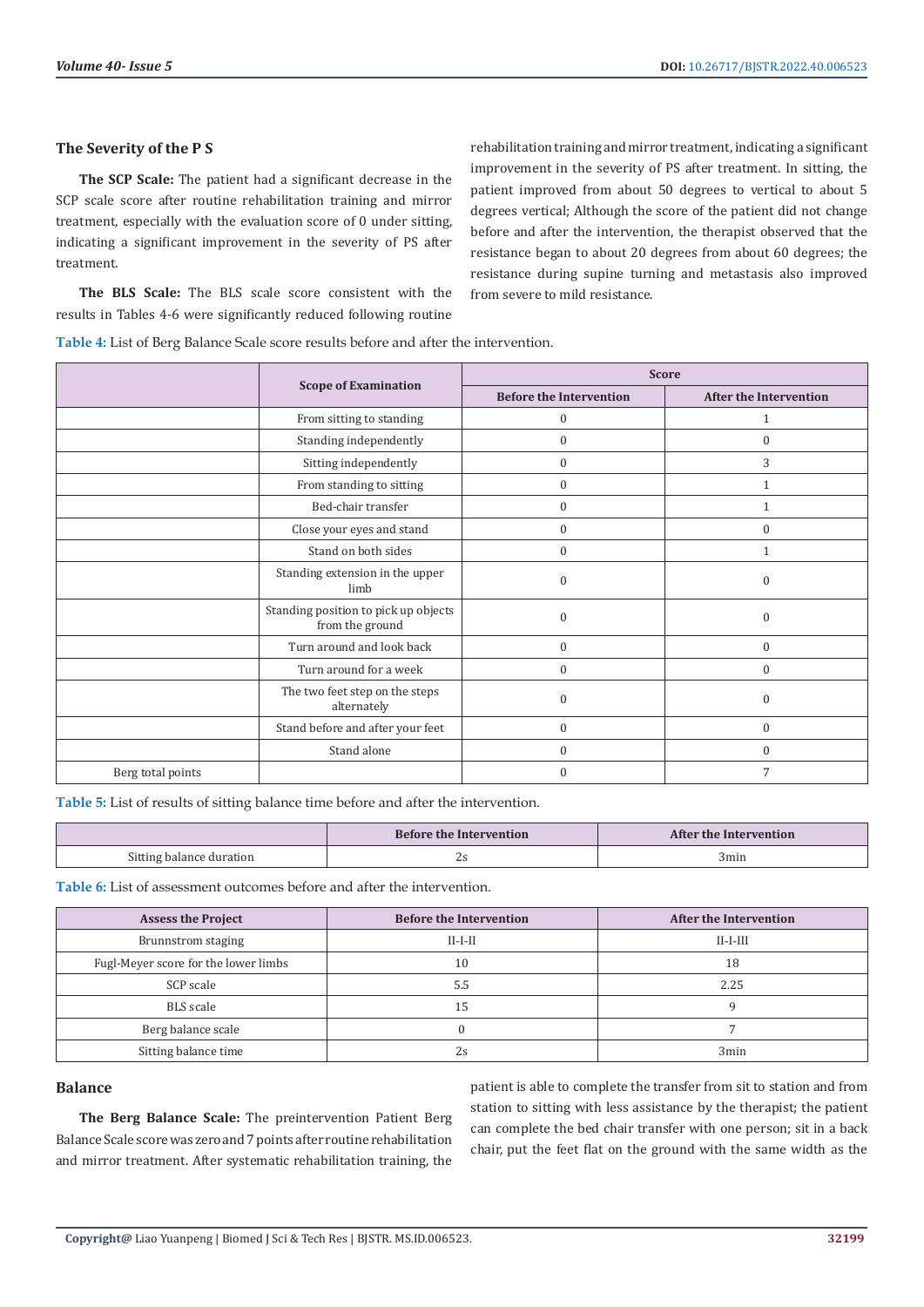### **The Severity of the P S**

**The SCP Scale:** The patient had a significant decrease in the SCP scale score after routine rehabilitation training and mirror treatment, especially with the evaluation score of 0 under sitting, indicating a significant improvement in the severity of PS after treatment.

**The BLS Scale:** The BLS scale score consistent with the results in Tables 4-6 were significantly reduced following routine

rehabilitation training and mirror treatment, indicating a significant improvement in the severity of PS after treatment. In sitting, the patient improved from about 50 degrees to vertical to about 5 degrees vertical; Although the score of the patient did not change before and after the intervention, the therapist observed that the resistance began to about 20 degrees from about 60 degrees; the resistance during supine turning and metastasis also improved from severe to mild resistance.

**Table 4:** List of Berg Balance Scale score results before and after the intervention.

|                   |                                                         | <b>Score</b>                   |                               |  |
|-------------------|---------------------------------------------------------|--------------------------------|-------------------------------|--|
|                   | <b>Scope of Examination</b>                             | <b>Before the Intervention</b> | <b>After the Intervention</b> |  |
|                   | From sitting to standing                                | $\mathbf{0}$                   |                               |  |
|                   | Standing independently                                  | $\mathbf{0}$                   | $\Omega$                      |  |
|                   | Sitting independently                                   | $\mathbf{0}$                   | 3                             |  |
|                   | From standing to sitting                                | $\mathbf{0}$                   | 1                             |  |
|                   | Bed-chair transfer                                      | $\boldsymbol{0}$               | 1                             |  |
|                   | Close your eyes and stand                               | $\mathbf{0}$                   | $\mathbf{0}$                  |  |
|                   | Stand on both sides                                     | $\mathbf{0}$                   | 1                             |  |
|                   | Standing extension in the upper<br>limb                 | $\Omega$                       | $\Omega$                      |  |
|                   | Standing position to pick up objects<br>from the ground | $\Omega$                       | $\Omega$                      |  |
|                   | Turn around and look back                               | $\boldsymbol{0}$               | $\mathbf{0}$                  |  |
|                   | Turn around for a week                                  | $\theta$                       | $\Omega$                      |  |
|                   | The two feet step on the steps<br>alternately           | $\mathbf{0}$                   | $\Omega$                      |  |
|                   | Stand before and after your feet                        | $\mathbf{0}$                   | $\mathbf{0}$                  |  |
|                   | Stand alone                                             | $\Omega$                       | $\Omega$                      |  |
| Berg total points |                                                         | $\Omega$                       | $\overline{7}$                |  |

**Table 5:** List of results of sitting balance time before and after the intervention.

|                          | <b>Before the Intervention</b> | After the Intervention |
|--------------------------|--------------------------------|------------------------|
| Sitting balance duration |                                | 3min                   |

**Table 6:** List of assessment outcomes before and after the intervention.

| <b>Assess the Project</b>            | <b>Before the Intervention</b> | <b>After the Intervention</b> |
|--------------------------------------|--------------------------------|-------------------------------|
| Brunnstrom staging                   | $II-I-II$                      | $II-I-III$                    |
| Fugl-Meyer score for the lower limbs | 10                             | 18                            |
| SCP scale                            | 5.5                            | 2.25                          |
| BLS scale                            | ל. ו                           |                               |
| Berg balance scale                   |                                |                               |
| Sitting balance time                 | 2s                             | 3min                          |

# **Balance**

**The Berg Balance Scale:** The preintervention Patient Berg Balance Scale score was zero and 7 points after routine rehabilitation and mirror treatment. After systematic rehabilitation training, the

patient is able to complete the transfer from sit to station and from station to sitting with less assistance by the therapist; the patient can complete the bed chair transfer with one person; sit in a back chair, put the feet flat on the ground with the same width as the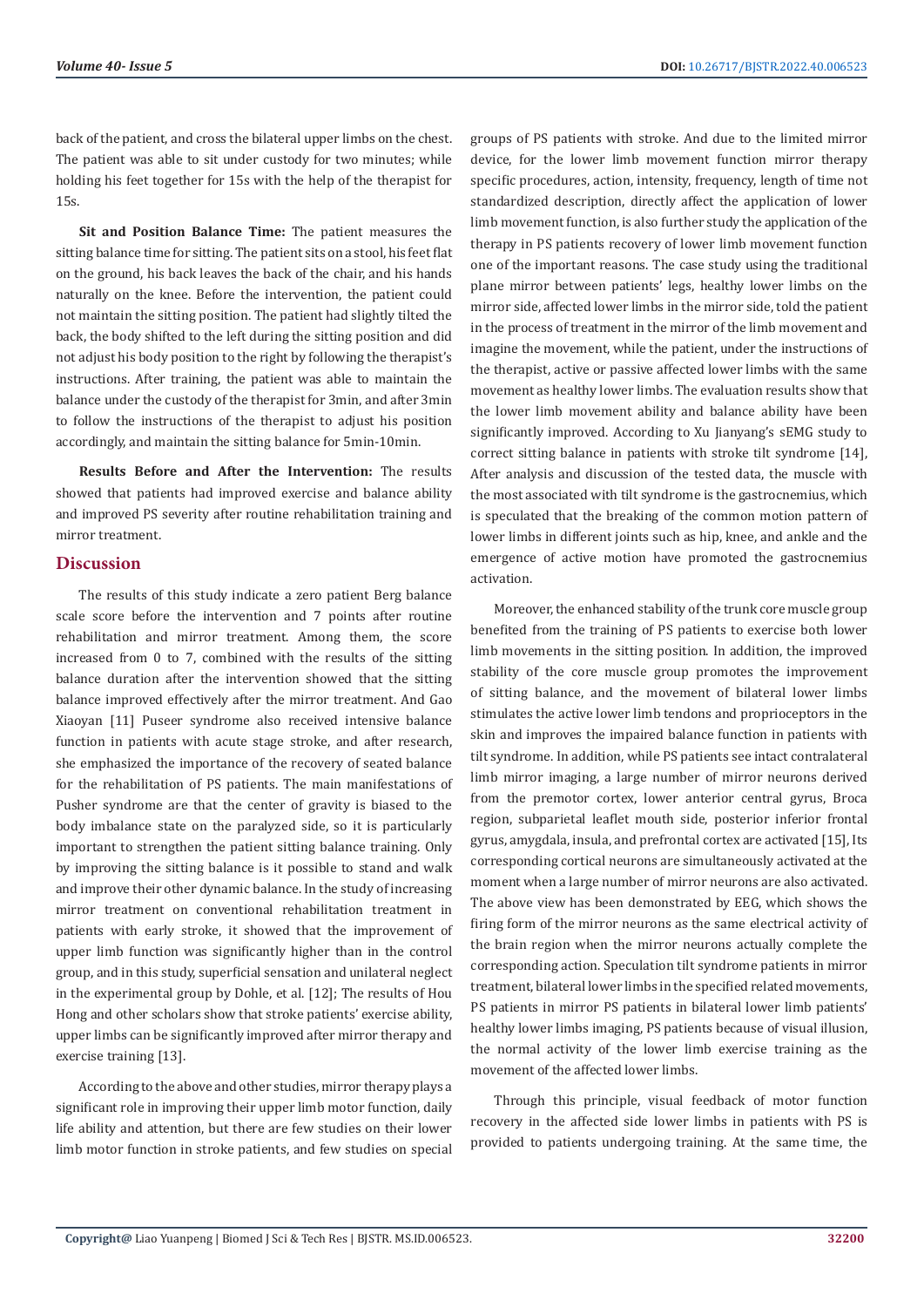back of the patient, and cross the bilateral upper limbs on the chest. The patient was able to sit under custody for two minutes; while holding his feet together for 15s with the help of the therapist for 15s.

**Sit and Position Balance Time:** The patient measures the sitting balance time for sitting. The patient sits on a stool, his feet flat on the ground, his back leaves the back of the chair, and his hands naturally on the knee. Before the intervention, the patient could not maintain the sitting position. The patient had slightly tilted the back, the body shifted to the left during the sitting position and did not adjust his body position to the right by following the therapist's instructions. After training, the patient was able to maintain the balance under the custody of the therapist for 3min, and after 3min to follow the instructions of the therapist to adjust his position accordingly, and maintain the sitting balance for 5min-10min.

**Results Before and After the Intervention:** The results showed that patients had improved exercise and balance ability and improved PS severity after routine rehabilitation training and mirror treatment.

# **Discussion**

The results of this study indicate a zero patient Berg balance scale score before the intervention and 7 points after routine rehabilitation and mirror treatment. Among them, the score increased from 0 to 7, combined with the results of the sitting balance duration after the intervention showed that the sitting balance improved effectively after the mirror treatment. And Gao Xiaoyan [11] Puseer syndrome also received intensive balance function in patients with acute stage stroke, and after research, she emphasized the importance of the recovery of seated balance for the rehabilitation of PS patients. The main manifestations of Pusher syndrome are that the center of gravity is biased to the body imbalance state on the paralyzed side, so it is particularly important to strengthen the patient sitting balance training. Only by improving the sitting balance is it possible to stand and walk and improve their other dynamic balance. In the study of increasing mirror treatment on conventional rehabilitation treatment in patients with early stroke, it showed that the improvement of upper limb function was significantly higher than in the control group, and in this study, superficial sensation and unilateral neglect in the experimental group by Dohle, et al. [12]; The results of Hou Hong and other scholars show that stroke patients' exercise ability, upper limbs can be significantly improved after mirror therapy and exercise training [13].

According to the above and other studies, mirror therapy plays a significant role in improving their upper limb motor function, daily life ability and attention, but there are few studies on their lower limb motor function in stroke patients, and few studies on special

groups of PS patients with stroke. And due to the limited mirror device, for the lower limb movement function mirror therapy specific procedures, action, intensity, frequency, length of time not standardized description, directly affect the application of lower limb movement function, is also further study the application of the therapy in PS patients recovery of lower limb movement function one of the important reasons. The case study using the traditional plane mirror between patients' legs, healthy lower limbs on the mirror side, affected lower limbs in the mirror side, told the patient in the process of treatment in the mirror of the limb movement and imagine the movement, while the patient, under the instructions of the therapist, active or passive affected lower limbs with the same movement as healthy lower limbs. The evaluation results show that the lower limb movement ability and balance ability have been significantly improved. According to Xu Jianyang's sEMG study to correct sitting balance in patients with stroke tilt syndrome [14], After analysis and discussion of the tested data, the muscle with the most associated with tilt syndrome is the gastrocnemius, which is speculated that the breaking of the common motion pattern of lower limbs in different joints such as hip, knee, and ankle and the emergence of active motion have promoted the gastrocnemius activation.

Moreover, the enhanced stability of the trunk core muscle group benefited from the training of PS patients to exercise both lower limb movements in the sitting position. In addition, the improved stability of the core muscle group promotes the improvement of sitting balance, and the movement of bilateral lower limbs stimulates the active lower limb tendons and proprioceptors in the skin and improves the impaired balance function in patients with tilt syndrome. In addition, while PS patients see intact contralateral limb mirror imaging, a large number of mirror neurons derived from the premotor cortex, lower anterior central gyrus, Broca region, subparietal leaflet mouth side, posterior inferior frontal gyrus, amygdala, insula, and prefrontal cortex are activated [15], Its corresponding cortical neurons are simultaneously activated at the moment when a large number of mirror neurons are also activated. The above view has been demonstrated by EEG, which shows the firing form of the mirror neurons as the same electrical activity of the brain region when the mirror neurons actually complete the corresponding action. Speculation tilt syndrome patients in mirror treatment, bilateral lower limbs in the specified related movements, PS patients in mirror PS patients in bilateral lower limb patients' healthy lower limbs imaging, PS patients because of visual illusion, the normal activity of the lower limb exercise training as the movement of the affected lower limbs.

Through this principle, visual feedback of motor function recovery in the affected side lower limbs in patients with PS is provided to patients undergoing training. At the same time, the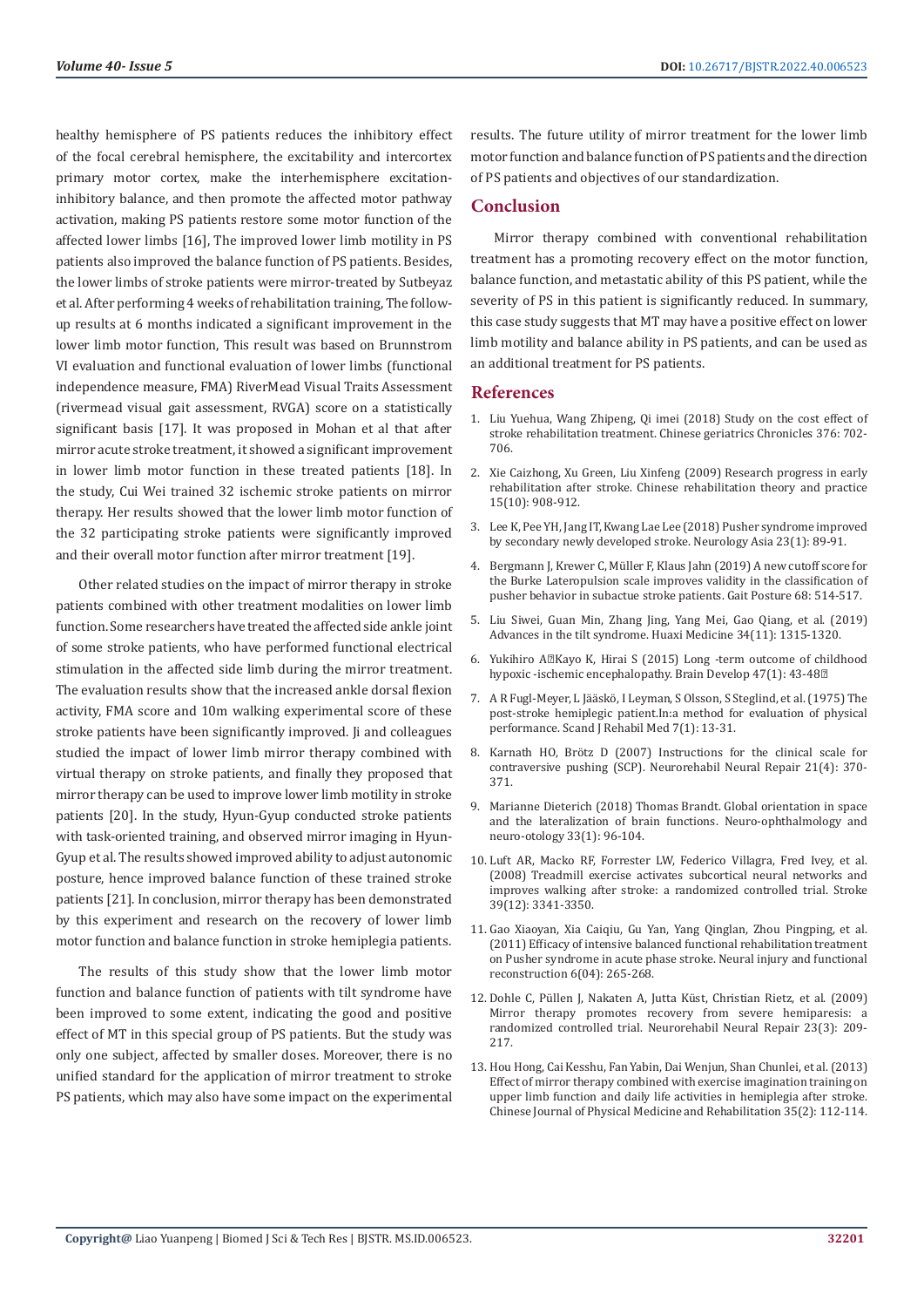healthy hemisphere of PS patients reduces the inhibitory effect of the focal cerebral hemisphere, the excitability and intercortex primary motor cortex, make the interhemisphere excitationinhibitory balance, and then promote the affected motor pathway activation, making PS patients restore some motor function of the affected lower limbs [16], The improved lower limb motility in PS patients also improved the balance function of PS patients. Besides, the lower limbs of stroke patients were mirror-treated by Sutbeyaz et al. After performing 4 weeks of rehabilitation training, The followup results at 6 months indicated a significant improvement in the lower limb motor function, This result was based on Brunnstrom VI evaluation and functional evaluation of lower limbs (functional independence measure, FMA) RiverMead Visual Traits Assessment (rivermead visual gait assessment, RVGA) score on a statistically significant basis [17]. It was proposed in Mohan et al that after mirror acute stroke treatment, it showed a significant improvement in lower limb motor function in these treated patients [18]. In the study, Cui Wei trained 32 ischemic stroke patients on mirror therapy. Her results showed that the lower limb motor function of the 32 participating stroke patients were significantly improved and their overall motor function after mirror treatment [19].

Other related studies on the impact of mirror therapy in stroke patients combined with other treatment modalities on lower limb function. Some researchers have treated the affected side ankle joint of some stroke patients, who have performed functional electrical stimulation in the affected side limb during the mirror treatment. The evaluation results show that the increased ankle dorsal flexion activity, FMA score and 10m walking experimental score of these stroke patients have been significantly improved. Ji and colleagues studied the impact of lower limb mirror therapy combined with virtual therapy on stroke patients, and finally they proposed that mirror therapy can be used to improve lower limb motility in stroke patients [20]. In the study, Hyun-Gyup conducted stroke patients with task-oriented training, and observed mirror imaging in Hyun-Gyup et al. The results showed improved ability to adjust autonomic posture, hence improved balance function of these trained stroke patients [21]. In conclusion, mirror therapy has been demonstrated by this experiment and research on the recovery of lower limb motor function and balance function in stroke hemiplegia patients.

The results of this study show that the lower limb motor function and balance function of patients with tilt syndrome have been improved to some extent, indicating the good and positive effect of MT in this special group of PS patients. But the study was only one subject, affected by smaller doses. Moreover, there is no unified standard for the application of mirror treatment to stroke PS patients, which may also have some impact on the experimental results. The future utility of mirror treatment for the lower limb motor function and balance function of PS patients and the direction of PS patients and objectives of our standardization.

# **Conclusion**

Mirror therapy combined with conventional rehabilitation treatment has a promoting recovery effect on the motor function, balance function, and metastatic ability of this PS patient, while the severity of PS in this patient is significantly reduced. In summary, this case study suggests that MT may have a positive effect on lower limb motility and balance ability in PS patients, and can be used as an additional treatment for PS patients.

#### **References**

- 1. Liu Yuehua, Wang Zhipeng, Qi imei (2018) Study on the cost effect of stroke rehabilitation treatment. Chinese geriatrics Chronicles 376: 702- 706.
- 2. Xie Caizhong, Xu Green, Liu Xinfeng (2009) Research progress in early rehabilitation after stroke. Chinese rehabilitation theory and practice 15(10): 908-912.
- 3. [Lee K, Pee YH, Jang IT, Kwang Lae Lee \(2018\) Pusher syndrome improved](https://web.p.ebscohost.com/abstract?direct=true&profile=ehost&scope=site&authtype=crawler&jrnl=18236138&AN=128810272&h=gRRWOnY9PeanD36Kix2RwnNMrHAf9hKgN46Xjs04K0K7ahvNLhID8K0i%2b46qQ8VgmGSrbNAFri5TJatugCIBAA%3d%3d&crl=c&resultNs=AdminWebAuth&resultLocal=ErrCrlNotAuth&crlhashurl=login.aspx%3fdirect%3dtrue%26profile%3dehost%26scope%3dsite%26authtype%3dcrawler%26jrnl%3d18236138%26AN%3d128810272) [by secondary newly developed stroke. Neurology Asia 23\(1\): 89-91.](https://web.p.ebscohost.com/abstract?direct=true&profile=ehost&scope=site&authtype=crawler&jrnl=18236138&AN=128810272&h=gRRWOnY9PeanD36Kix2RwnNMrHAf9hKgN46Xjs04K0K7ahvNLhID8K0i%2b46qQ8VgmGSrbNAFri5TJatugCIBAA%3d%3d&crl=c&resultNs=AdminWebAuth&resultLocal=ErrCrlNotAuth&crlhashurl=login.aspx%3fdirect%3dtrue%26profile%3dehost%26scope%3dsite%26authtype%3dcrawler%26jrnl%3d18236138%26AN%3d128810272)
- 4. Bergmann J, Krewer C, Mü[ller F, Klaus Jahn \(2019\) A new cutoff score for](https://pubmed.ncbi.nlm.nih.gov/30623845/) [the Burke Lateropulsion scale improves validity in the classification of](https://pubmed.ncbi.nlm.nih.gov/30623845/) [pusher behavior in subactue stroke patients. Gait Posture 68: 514-517.](https://pubmed.ncbi.nlm.nih.gov/30623845/)
- 5. Liu Siwei, Guan Min, Zhang Jing, Yang Mei, Gao Qiang, et al. (2019) Advances in the tilt syndrome. Huaxi Medicine 34(11): 1315-1320.
- 6. Yukihiro AZKayo K, Hirai S (2015) Long -term outcome of childhood hypoxic -ischemic encephalopathy. Brain Develop 47(1): 43-48<sup>2</sup>
- 7. A R Fugl-Meyer, L Jääskö[, I Leyman, S Olsson, S Steglind, et al. \(1975\) The](https://pubmed.ncbi.nlm.nih.gov/1135616/) [post-stroke hemiplegic patient.In:a method for evaluation of physical](https://pubmed.ncbi.nlm.nih.gov/1135616/) [performance. Scand J Rehabil Med 7\(1\): 13-31.](https://pubmed.ncbi.nlm.nih.gov/1135616/)
- 8. Karnath HO, Brö[tz D \(2007\) Instructions for the clinical scale for](https://pubmed.ncbi.nlm.nih.gov/17551171/) [contraversive pushing \(SCP\). Neurorehabil Neural Repair 21\(4\): 370-](https://pubmed.ncbi.nlm.nih.gov/17551171/) [371.](https://pubmed.ncbi.nlm.nih.gov/17551171/)
- 9. [Marianne Dieterich \(2018\) Thomas Brandt. Global orientation in space](https://pubmed.ncbi.nlm.nih.gov/29189299/) [and the lateralization of brain functions. Neuro-ophthalmology and](https://pubmed.ncbi.nlm.nih.gov/29189299/) [neuro-otology 33\(1\): 96-104.](https://pubmed.ncbi.nlm.nih.gov/29189299/)
- 10. [Luft AR, Macko RF, Forrester LW, Federico Villagra, Fred Ivey, et al.](https://pubmed.ncbi.nlm.nih.gov/18757284/) [\(2008\) Treadmill exercise activates subcortical neural networks and](https://pubmed.ncbi.nlm.nih.gov/18757284/) [improves walking after stroke: a randomized controlled trial. Stroke](https://pubmed.ncbi.nlm.nih.gov/18757284/) [39\(12\): 3341-3350.](https://pubmed.ncbi.nlm.nih.gov/18757284/)
- 11. Gao Xiaoyan, Xia Caiqiu, Gu Yan, Yang Qinglan, Zhou Pingping, et al. (2011) Efficacy of intensive balanced functional rehabilitation treatment on Pusher syndrome in acute phase stroke. Neural injury and functional reconstruction 6(04): 265-268.
- 12. Dohle C, Püllen J, Nakaten A, Jutta Kü[st, Christian Rietz, et al. \(2009\)](https://pubmed.ncbi.nlm.nih.gov/19074686/) [Mirror therapy promotes recovery from severe hemiparesis: a](https://pubmed.ncbi.nlm.nih.gov/19074686/) [randomized controlled trial. Neurorehabil Neural Repair 23\(3\): 209-](https://pubmed.ncbi.nlm.nih.gov/19074686/) [217.](https://pubmed.ncbi.nlm.nih.gov/19074686/)
- 13. Hou Hong, Cai Kesshu, Fan Yabin, Dai Wenjun, Shan Chunlei, et al. (2013) Effect of mirror therapy combined with exercise imagination training on upper limb function and daily life activities in hemiplegia after stroke. Chinese Journal of Physical Medicine and Rehabilitation 35(2): 112-114.